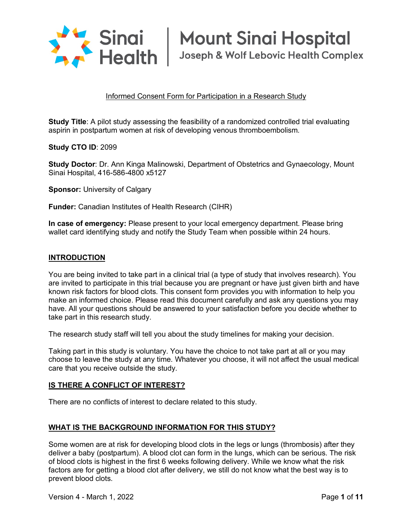

### Informed Consent Form for Participation in a Research Study

**Study Title**: A pilot study assessing the feasibility of a randomized controlled trial evaluating aspirin in postpartum women at risk of developing venous thromboembolism*.*

**Study CTO ID**: 2099

**Study Doctor**: Dr. Ann Kinga Malinowski, Department of Obstetrics and Gynaecology, Mount Sinai Hospital, 416-586-4800 x5127

**Sponsor: University of Calgary** 

**Funder:** Canadian Institutes of Health Research (CIHR)

**In case of emergency:** Please present to your local emergency department. Please bring wallet card identifying study and notify the Study Team when possible within 24 hours.

#### **INTRODUCTION**

You are being invited to take part in a clinical trial (a type of study that involves research). You are invited to participate in this trial because you are pregnant or have just given birth and have known risk factors for blood clots. This consent form provides you with information to help you make an informed choice. Please read this document carefully and ask any questions you may have. All your questions should be answered to your satisfaction before you decide whether to take part in this research study.

The research study staff will tell you about the study timelines for making your decision.

Taking part in this study is voluntary. You have the choice to not take part at all or you may choose to leave the study at any time. Whatever you choose, it will not affect the usual medical care that you receive outside the study.

#### **IS THERE A CONFLICT OF INTEREST?**

There are no conflicts of interest to declare related to this study.

#### **WHAT IS THE BACKGROUND INFORMATION FOR THIS STUDY?**

Some women are at risk for developing blood clots in the legs or lungs (thrombosis) after they deliver a baby (postpartum). A blood clot can form in the lungs, which can be serious. The risk of blood clots is highest in the first 6 weeks following delivery. While we know what the risk factors are for getting a blood clot after delivery, we still do not know what the best way is to prevent blood clots.

Version 4 - March 1, 2022 Page **1** of **11**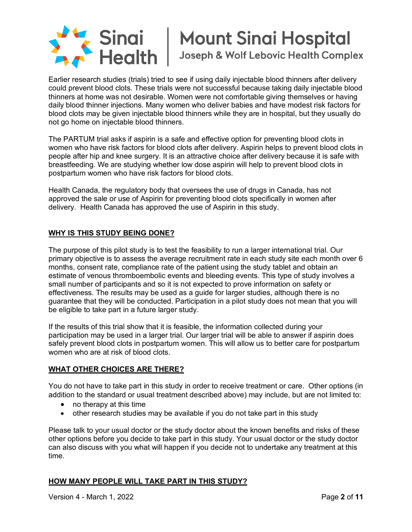

Joseph & Wolf Lebovic Health Complex

Earlier research studies (trials) tried to see if using daily injectable blood thinners after delivery could prevent blood clots. These trials were not successful because taking daily injectable blood thinners at home was not desirable. Women were not comfortable giving themselves or having daily blood thinner injections. Many women who deliver babies and have modest risk factors for blood clots may be given injectable blood thinners while they are in hospital, but they usually do not go home on injectable blood thinners.

The PARTUM trial asks if aspirin is a safe and effective option for preventing blood clots in women who have risk factors for blood clots after delivery. Aspirin helps to prevent blood clots in people after hip and knee surgery. It is an attractive choice after delivery because it is safe with breastfeeding. We are studying whether low dose aspirin will help to prevent blood clots in postpartum women who have risk factors for blood clots.

Health Canada, the regulatory body that oversees the use of drugs in Canada, has not approved the sale or use of Aspirin for preventing blood clots specifically in women after delivery. Health Canada has approved the use of Aspirin in this study.

# **WHY IS THIS STUDY BEING DONE?**

The purpose of this pilot study is to test the feasibility to run a larger international trial. Our primary objective is to assess the average recruitment rate in each study site each month over 6 months, consent rate, compliance rate of the patient using the study tablet and obtain an estimate of venous thromboembolic events and bleeding events. This type of study involves a small number of participants and so it is not expected to prove information on safety or effectiveness. The results may be used as a guide for larger studies, although there is no guarantee that they will be conducted. Participation in a pilot study does not mean that you will be eligible to take part in a future larger study.

If the results of this trial show that it is feasible, the information collected during your participation may be used in a larger trial. Our larger trial will be able to answer if aspirin does safely prevent blood clots in postpartum women. This will allow us to better care for postpartum women who are at risk of blood clots.

# **WHAT OTHER CHOICES ARE THERE?**

You do not have to take part in this study in order to receive treatment or care. Other options (in addition to the standard or usual treatment described above) may include, but are not limited to:

- no therapy at this time
- other research studies may be available if you do not take part in this study

Please talk to your usual doctor or the study doctor about the known benefits and risks of these other options before you decide to take part in this study. Your usual doctor or the study doctor can also discuss with you what will happen if you decide not to undertake any treatment at this time.

# **HOW MANY PEOPLE WILL TAKE PART IN THIS STUDY?**

Version 4 - March 1, 2022 Page **2** of **11**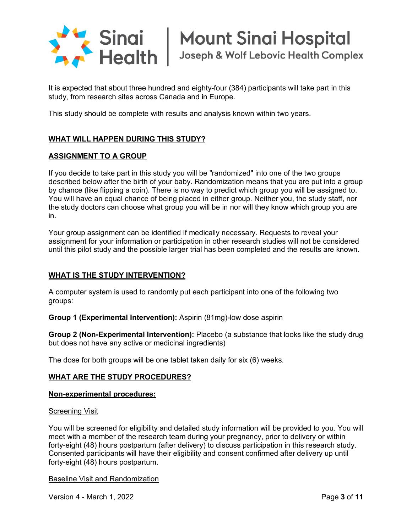

It is expected that about three hundred and eighty-four (384) participants will take part in this study, from research sites across Canada and in Europe.

This study should be complete with results and analysis known within two years.

# **WHAT WILL HAPPEN DURING THIS STUDY?**

#### **ASSIGNMENT TO A GROUP**

If you decide to take part in this study you will be "randomized" into one of the two groups described below after the birth of your baby. Randomization means that you are put into a group by chance (like flipping a coin). There is no way to predict which group you will be assigned to. You will have an equal chance of being placed in either group. Neither you, the study staff, nor the study doctors can choose what group you will be in nor will they know which group you are in.

Your group assignment can be identified if medically necessary. Requests to reveal your assignment for your information or participation in other research studies will not be considered until this pilot study and the possible larger trial has been completed and the results are known.

# **WHAT IS THE STUDY INTERVENTION?**

A computer system is used to randomly put each participant into one of the following two groups:

**Group 1 (Experimental Intervention):** Aspirin (81mg)-low dose aspirin

**Group 2 (Non-Experimental Intervention):** Placebo (a substance that looks like the study drug but does not have any active or medicinal ingredients)

The dose for both groups will be one tablet taken daily for six (6) weeks.

#### **WHAT ARE THE STUDY PROCEDURES?**

#### **Non-experimental procedures:**

#### Screening Visit

You will be screened for eligibility and detailed study information will be provided to you. You will meet with a member of the research team during your pregnancy, prior to delivery or within forty-eight (48) hours postpartum (after delivery) to discuss participation in this research study. Consented participants will have their eligibility and consent confirmed after delivery up until forty-eight (48) hours postpartum.

Baseline Visit and Randomization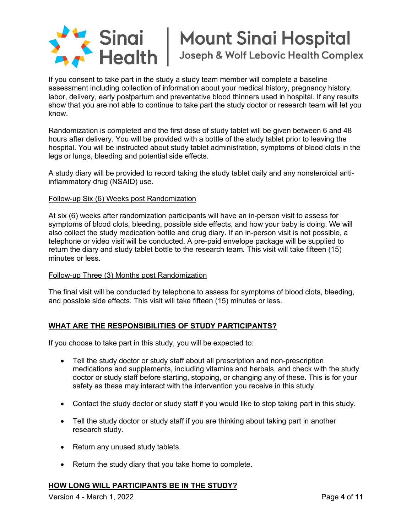

Joseph & Wolf Lebovic Health Complex

If you consent to take part in the study a study team member will complete a baseline assessment including collection of information about your medical history, pregnancy history, labor, delivery, early postpartum and preventative blood thinners used in hospital. If any results show that you are not able to continue to take part the study doctor or research team will let you know.

Randomization is completed and the first dose of study tablet will be given between 6 and 48 hours after delivery. You will be provided with a bottle of the study tablet prior to leaving the hospital. You will be instructed about study tablet administration, symptoms of blood clots in the legs or lungs, bleeding and potential side effects.

A study diary will be provided to record taking the study tablet daily and any nonsteroidal antiinflammatory drug (NSAID) use.

#### Follow-up Six (6) Weeks post Randomization

At six (6) weeks after randomization participants will have an in-person visit to assess for symptoms of blood clots, bleeding, possible side effects, and how your baby is doing. We will also collect the study medication bottle and drug diary. If an in-person visit is not possible, a telephone or video visit will be conducted. A pre-paid envelope package will be supplied to return the diary and study tablet bottle to the research team. This visit will take fifteen (15) minutes or less.

# Follow-up Three (3) Months post Randomization

The final visit will be conducted by telephone to assess for symptoms of blood clots, bleeding, and possible side effects. This visit will take fifteen (15) minutes or less.

# **WHAT ARE THE RESPONSIBILITIES OF STUDY PARTICIPANTS?**

If you choose to take part in this study, you will be expected to:

- Tell the study doctor or study staff about all prescription and non-prescription medications and supplements, including vitamins and herbals, and check with the study doctor or study staff before starting, stopping, or changing any of these. This is for your safety as these may interact with the intervention you receive in this study.
- Contact the study doctor or study staff if you would like to stop taking part in this study.
- Tell the study doctor or study staff if you are thinking about taking part in another research study.
- Return any unused study tablets.
- Return the study diary that you take home to complete.

# **HOW LONG WILL PARTICIPANTS BE IN THE STUDY?**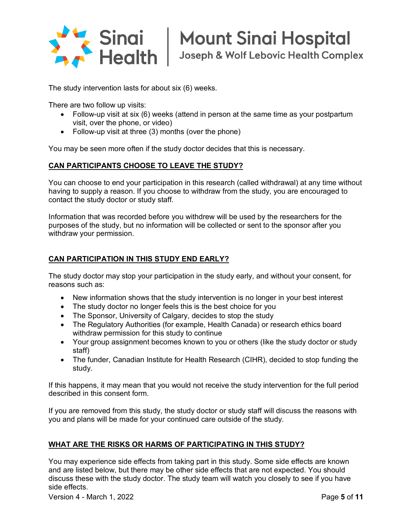

Joseph & Wolf Lebovic Health Complex

The study intervention lasts for about six (6) weeks.

There are two follow up visits:

- Follow-up visit at six (6) weeks (attend in person at the same time as your postpartum visit, over the phone, or video)
- Follow-up visit at three (3) months (over the phone)

You may be seen more often if the study doctor decides that this is necessary.

#### **CAN PARTICIPANTS CHOOSE TO LEAVE THE STUDY?**

You can choose to end your participation in this research (called withdrawal) at any time without having to supply a reason. If you choose to withdraw from the study, you are encouraged to contact the study doctor or study staff.

Information that was recorded before you withdrew will be used by the researchers for the purposes of the study, but no information will be collected or sent to the sponsor after you withdraw your permission.

#### **CAN PARTICIPATION IN THIS STUDY END EARLY?**

The study doctor may stop your participation in the study early, and without your consent, for reasons such as:

- New information shows that the study intervention is no longer in your best interest
- The study doctor no longer feels this is the best choice for you
- The Sponsor, University of Calgary, decides to stop the study
- The Regulatory Authorities (for example, Health Canada) or research ethics board withdraw permission for this study to continue
- Your group assignment becomes known to you or others (like the study doctor or study staff)
- The funder, Canadian Institute for Health Research (CIHR), decided to stop funding the study.

If this happens, it may mean that you would not receive the study intervention for the full period described in this consent form.

If you are removed from this study, the study doctor or study staff will discuss the reasons with you and plans will be made for your continued care outside of the study.

# **WHAT ARE THE RISKS OR HARMS OF PARTICIPATING IN THIS STUDY?**

You may experience side effects from taking part in this study. Some side effects are known and are listed below, but there may be other side effects that are not expected. You should discuss these with the study doctor. The study team will watch you closely to see if you have side effects.

Version 4 - March 1, 2022 Page **5** of **11**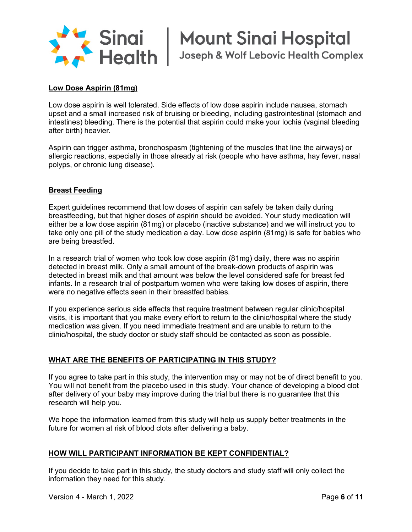

Sinai | Mount Sinai Hospital<br>| Health | Joseph & Wolf Lebovic Health Compl Joseph & Wolf Lebovic Health Complex

### **Low Dose Aspirin (81mg)**

Low dose aspirin is well tolerated. Side effects of low dose aspirin include nausea, stomach upset and a small increased risk of bruising or bleeding, including gastrointestinal (stomach and intestines) bleeding. There is the potential that aspirin could make your lochia (vaginal bleeding after birth) heavier.

Aspirin can trigger asthma, bronchospasm (tightening of the muscles that line the airways) or allergic reactions, especially in those already at risk (people who have asthma, hay fever, nasal polyps, or chronic lung disease).

#### **Breast Feeding**

Expert guidelines recommend that low doses of aspirin can safely be taken daily during breastfeeding, but that higher doses of aspirin should be avoided. Your study medication will either be a low dose aspirin (81mg) or placebo (inactive substance) and we will instruct you to take only one pill of the study medication a day. Low dose aspirin (81mg) is safe for babies who are being breastfed.

In a research trial of women who took low dose aspirin (81mg) daily, there was no aspirin detected in breast milk. Only a small amount of the break-down products of aspirin was detected in breast milk and that amount was below the level considered safe for breast fed infants. In a research trial of postpartum women who were taking low doses of aspirin, there were no negative effects seen in their breastfed babies.

If you experience serious side effects that require treatment between regular clinic/hospital visits, it is important that you make every effort to return to the clinic/hospital where the study medication was given. If you need immediate treatment and are unable to return to the clinic/hospital, the study doctor or study staff should be contacted as soon as possible.

#### **WHAT ARE THE BENEFITS OF PARTICIPATING IN THIS STUDY?**

If you agree to take part in this study, the intervention may or may not be of direct benefit to you. You will not benefit from the placebo used in this study. Your chance of developing a blood clot after delivery of your baby may improve during the trial but there is no guarantee that this research will help you.

We hope the information learned from this study will help us supply better treatments in the future for women at risk of blood clots after delivering a baby.

#### **HOW WILL PARTICIPANT INFORMATION BE KEPT CONFIDENTIAL?**

If you decide to take part in this study, the study doctors and study staff will only collect the information they need for this study.

Version 4 - March 1, 2022 Page **6** of **11**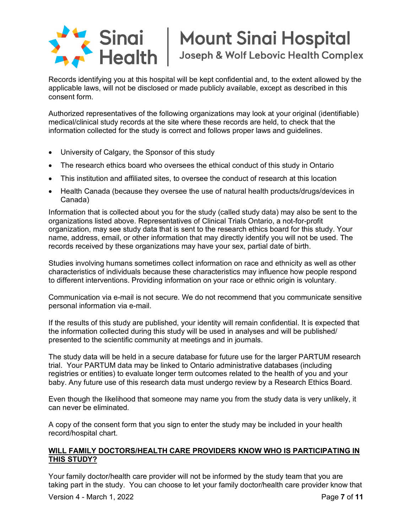

# **Mount Sinai Hospital** Joseph & Wolf Lebovic Health Complex

Records identifying you at this hospital will be kept confidential and, to the extent allowed by the applicable laws, will not be disclosed or made publicly available, except as described in this consent form.

Authorized representatives of the following organizations may look at your original (identifiable) medical/clinical study records at the site where these records are held, to check that the information collected for the study is correct and follows proper laws and guidelines.

- University of Calgary, the Sponsor of this study
- The research ethics board who oversees the ethical conduct of this study in Ontario
- This institution and affiliated sites, to oversee the conduct of research at this location
- Health Canada (because they oversee the use of natural health products/drugs/devices in Canada)

Information that is collected about you for the study (called study data) may also be sent to the organizations listed above. Representatives of Clinical Trials Ontario, a not-for-profit organization, may see study data that is sent to the research ethics board for this study. Your name, address, email, or other information that may directly identify you will not be used. The records received by these organizations may have your sex, partial date of birth.

Studies involving humans sometimes collect information on race and ethnicity as well as other characteristics of individuals because these characteristics may influence how people respond to different interventions. Providing information on your race or ethnic origin is voluntary.

Communication via e-mail is not secure. We do not recommend that you communicate sensitive personal information via e-mail.

If the results of this study are published, your identity will remain confidential. It is expected that the information collected during this study will be used in analyses and will be published/ presented to the scientific community at meetings and in journals.

The study data will be held in a secure database for future use for the larger PARTUM research trial. Your PARTUM data may be linked to Ontario administrative databases (including registries or entities) to evaluate longer term outcomes related to the health of you and your baby. Any future use of this research data must undergo review by a Research Ethics Board.

Even though the likelihood that someone may name you from the study data is very unlikely, it can never be eliminated.

A copy of the consent form that you sign to enter the study may be included in your health record/hospital chart.

# **WILL FAMILY DOCTORS/HEALTH CARE PROVIDERS KNOW WHO IS PARTICIPATING IN THIS STUDY?**

Version 4 - March 1, 2022 Page **7** of **11** Your family doctor/health care provider will not be informed by the study team that you are taking part in the study. You can choose to let your family doctor/health care provider know that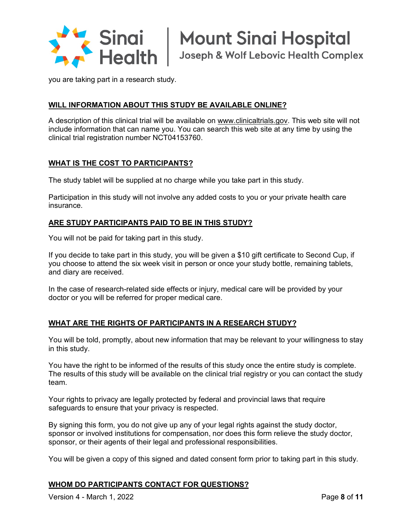

**Mount Sinai Hospital** Joseph & Wolf Lebovic Health Complex

you are taking part in a research study.

# **WILL INFORMATION ABOUT THIS STUDY BE AVAILABLE ONLINE?**

A description of this clinical trial will be available on www.clinicaltrials.gov. This web site will not include information that can name you. You can search this web site at any time by using the clinical trial registration number NCT04153760.

# **WHAT IS THE COST TO PARTICIPANTS?**

The study tablet will be supplied at no charge while you take part in this study.

Participation in this study will not involve any added costs to you or your private health care insurance.

# **ARE STUDY PARTICIPANTS PAID TO BE IN THIS STUDY?**

You will not be paid for taking part in this study.

If you decide to take part in this study, you will be given a \$10 gift certificate to Second Cup, if you choose to attend the six week visit in person or once your study bottle, remaining tablets, and diary are received.

In the case of research-related side effects or injury, medical care will be provided by your doctor or you will be referred for proper medical care.

# **WHAT ARE THE RIGHTS OF PARTICIPANTS IN A RESEARCH STUDY?**

You will be told, promptly, about new information that may be relevant to your willingness to stay in this study.

You have the right to be informed of the results of this study once the entire study is complete. The results of this study will be available on the clinical trial registry or you can contact the study team.

Your rights to privacy are legally protected by federal and provincial laws that require safeguards to ensure that your privacy is respected.

By signing this form, you do not give up any of your legal rights against the study doctor, sponsor or involved institutions for compensation, nor does this form relieve the study doctor, sponsor, or their agents of their legal and professional responsibilities.

You will be given a copy of this signed and dated consent form prior to taking part in this study.

# **WHOM DO PARTICIPANTS CONTACT FOR QUESTIONS?**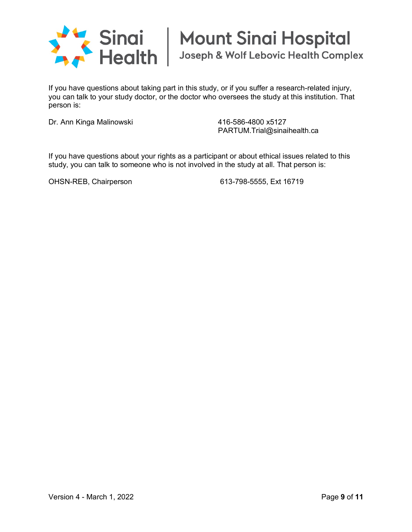

If you have questions about taking part in this study, or if you suffer a research-related injury, you can talk to your study doctor, or the doctor who oversees the study at this institution. That person is:

Dr. Ann Kinga Malinowski 416-586-4800 x5127

PARTUM.Trial@sinaihealth.ca

If you have questions about your rights as a participant or about ethical issues related to this study, you can talk to someone who is not involved in the study at all. That person is:

OHSN-REB, Chairperson 613-798-5555, Ext 16719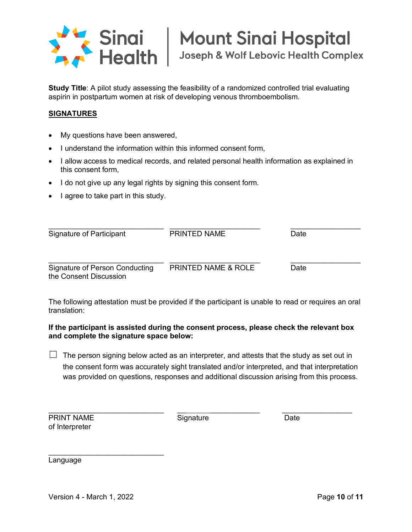

Joseph & Wolf Lebovic Health Complex

**Study Title**: A pilot study assessing the feasibility of a randomized controlled trial evaluating aspirin in postpartum women at risk of developing venous thromboembolism*.* 

# **SIGNATURES**

- My questions have been answered,
- I understand the information within this informed consent form,
- I allow access to medical records, and related personal health information as explained in this consent form,
- I do not give up any legal rights by signing this consent form.
- I agree to take part in this study.

| Signature of Participant                                 | PRINTED NAME                   | Date |
|----------------------------------------------------------|--------------------------------|------|
| Signature of Person Conducting<br>the Consent Discussion | <b>PRINTED NAME &amp; ROLE</b> | Date |

The following attestation must be provided if the participant is unable to read or requires an oral translation:

# **If the participant is assisted during the consent process, please check the relevant box and complete the signature space below:**

 $\Box$  The person signing below acted as an interpreter, and attests that the study as set out in the consent form was accurately sight translated and/or interpreted, and that interpretation was provided on questions, responses and additional discussion arising from this process.

| <b>PRINT NAME</b> |  |
|-------------------|--|
| of Interpreter    |  |

**Print Signature Date** Date

\_\_\_\_\_\_\_\_\_\_\_\_\_\_\_\_\_\_\_\_\_\_\_\_\_\_\_\_ \_\_ \_\_\_\_\_\_\_\_\_\_\_\_ \_\_\_\_\_\_\_\_\_\_\_\_\_\_\_\_\_

Language

 $\mathcal{L}=\mathcal{L}=\mathcal{L}=\mathcal{L}=\mathcal{L}=\mathcal{L}=\mathcal{L}=\mathcal{L}=\mathcal{L}=\mathcal{L}=\mathcal{L}=\mathcal{L}=\mathcal{L}=\mathcal{L}=\mathcal{L}=\mathcal{L}=\mathcal{L}=\mathcal{L}=\mathcal{L}=\mathcal{L}=\mathcal{L}=\mathcal{L}=\mathcal{L}=\mathcal{L}=\mathcal{L}=\mathcal{L}=\mathcal{L}=\mathcal{L}=\mathcal{L}=\mathcal{L}=\mathcal{L}=\mathcal{L}=\mathcal{L}=\mathcal{L}=\mathcal{L}=\mathcal{L}=\mathcal{$